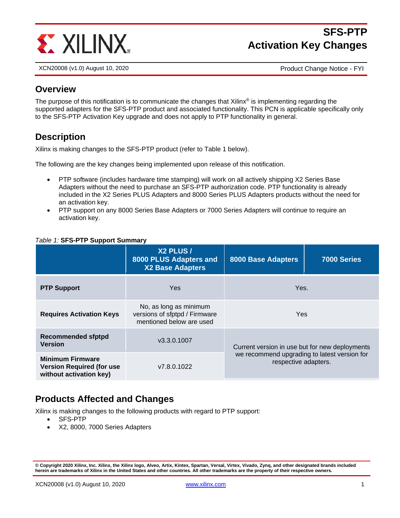

# **SFS-PTP Activation Key Changes**

XCN20008 (v1.0) August 10, 2020 Product Change Notice - FYI

#### **Overview**

The purpose of this notification is to communicate the changes that Xilinx<sup>®</sup> is implementing regarding the supported adapters for the SFS-PTP product and associated functionality. This PCN is applicable specifically only to the SFS-PTP Activation Key upgrade and does not apply to PTP functionality in general.

# **Description**

Xilinx is making changes to the SFS-PTP product (refer to Table 1 below).

The following are the key changes being implemented upon release of this notification.

- PTP software (includes hardware time stamping) will work on all actively shipping X2 Series Base Adapters without the need to purchase an SFS-PTP authorization code. PTP functionality is already included in the X2 Series PLUS Adapters and 8000 Series PLUS Adapters products without the need for an activation key.
- PTP support on any 8000 Series Base Adapters or 7000 Series Adapters will continue to require an activation key.

|                                                                                        | X2 PLUS /<br>8000 PLUS Adapters and<br><b>X2 Base Adapters</b>                      | <b>8000 Base Adapters</b>                                                                                              | 7000 Series |
|----------------------------------------------------------------------------------------|-------------------------------------------------------------------------------------|------------------------------------------------------------------------------------------------------------------------|-------------|
| <b>PTP Support</b>                                                                     | <b>Yes</b>                                                                          | Yes.                                                                                                                   |             |
| <b>Requires Activation Keys</b>                                                        | No, as long as minimum<br>versions of sfptpd / Firmware<br>mentioned below are used | Yes                                                                                                                    |             |
| <b>Recommended sfptpd</b><br><b>Version</b>                                            | v3.3.0.1007                                                                         | Current version in use but for new deployments<br>we recommend upgrading to latest version for<br>respective adapters. |             |
| <b>Minimum Firmware</b><br><b>Version Required (for use</b><br>without activation key) | v7.8.0.1022                                                                         |                                                                                                                        |             |

#### *Table 1:* **SFS-PTP Support Summary**

# **Products Affected and Changes**

Xilinx is making changes to the following products with regard to PTP support:

- SFS-PTP
- X2, 8000, 7000 Series Adapters

**<sup>©</sup> Copyright 2020 Xilinx, Inc. Xilinx, the Xilinx logo, Alveo, Artix, Kintex, Spartan, Versal, Virtex, Vivado, Zynq, and other designated brands included herein are trademarks of Xilinx in the United States and other countries. All other trademarks are the property of their respective owners.**